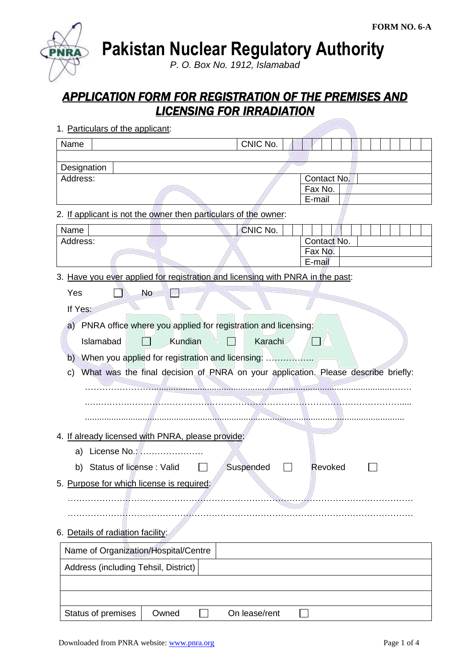**Pakistan Nuclear Regulatory Authority**

*P. O. Box No. 1912, Islamabad*

# *APPLICATION FORM FOR REGISTRATION OF THE PREMISES AND LICENSING FOR IRRADIATION*

|  | 1. Particulars of the applicant: |  |  |
|--|----------------------------------|--|--|
|--|----------------------------------|--|--|

| Name                                                                                    | CNIC No.      |                   |
|-----------------------------------------------------------------------------------------|---------------|-------------------|
|                                                                                         |               |                   |
| Designation<br>Address:                                                                 |               | Contact No.       |
|                                                                                         |               | Fax No.           |
|                                                                                         |               | E-mail            |
| 2. If applicant is not the owner then particulars of the owner:                         |               |                   |
| Name                                                                                    | CNIC No.      |                   |
| Address:                                                                                |               | Contact No.       |
|                                                                                         |               | Fax No.<br>E-mail |
| 3. Have you ever applied for registration and licensing with PNRA in the past:          |               |                   |
|                                                                                         |               |                   |
| <b>No</b><br>Yes                                                                        |               |                   |
| If Yes:                                                                                 |               |                   |
| a) PNRA office where you applied for registration and licensing:                        |               |                   |
| Kundian<br>Islamabad                                                                    | Karachi       |                   |
| When you applied for registration and licensing:<br>b)                                  |               |                   |
| What was the final decision of PNRA on your application. Please describe briefly:<br>C) |               |                   |
|                                                                                         |               |                   |
|                                                                                         |               |                   |
|                                                                                         |               |                   |
| 4. If already licensed with PNRA, please provide:                                       |               |                   |
| a) License No.:                                                                         |               |                   |
|                                                                                         |               |                   |
| b) Status of license: Valid                                                             | Suspended     | Revoked           |
| 5. Purpose for which license is required:                                               |               |                   |
|                                                                                         |               |                   |
|                                                                                         |               |                   |
| 6. Details of radiation facility:                                                       |               |                   |
| Name of Organization/Hospital/Centre                                                    |               |                   |
| Address (including Tehsil, District)                                                    |               |                   |
|                                                                                         |               |                   |
|                                                                                         |               |                   |
| Status of premises<br>Owned                                                             | On lease/rent |                   |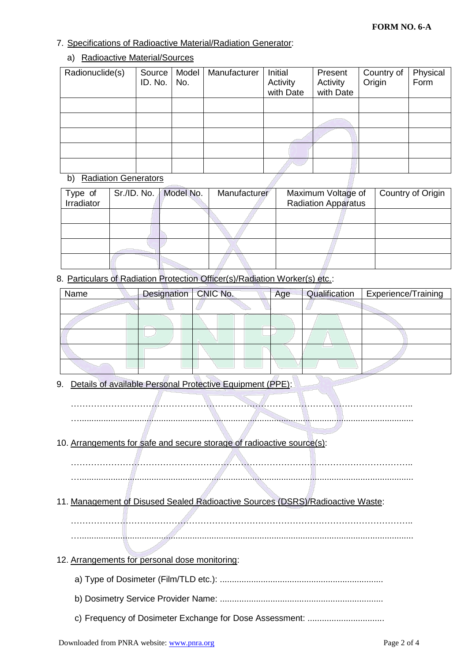# 7. Specifications of Radioactive Material/Radiation Generator:

# a) Radioactive Material/Sources

| Radionuclide(s)                   | Source<br>ID. No. | Model<br>No. | Manufacturer | Initial<br>Activity<br>with Date | Present<br>Activity<br>with Date | Country of<br>Origin | Physical<br>Form |
|-----------------------------------|-------------------|--------------|--------------|----------------------------------|----------------------------------|----------------------|------------------|
|                                   |                   |              |              |                                  |                                  |                      |                  |
|                                   |                   |              |              |                                  |                                  |                      |                  |
|                                   |                   |              |              |                                  |                                  |                      |                  |
|                                   |                   |              |              |                                  |                                  |                      |                  |
|                                   |                   |              |              |                                  |                                  |                      |                  |
| <b>Radiation Generators</b><br>b) |                   |              |              |                                  |                                  |                      |                  |

# b) Radiation Generators

| Type of<br>Irradiator | Sr./ID. No.   Model No. | Manufacturer | Maximum Voltage of<br><b>Radiation Apparatus</b> | Country of Origin |
|-----------------------|-------------------------|--------------|--------------------------------------------------|-------------------|
|                       |                         |              |                                                  |                   |
|                       |                         |              |                                                  |                   |
|                       |                         |              |                                                  |                   |
|                       |                         |              |                                                  |                   |

8. Particulars of Radiation Protection Officer(s)/Radiation Worker(s) etc.:

| Name | Designation   CNIC No. | Age | Qualification | <b>Experience/Training</b> |
|------|------------------------|-----|---------------|----------------------------|
|      |                        |     |               |                            |
|      |                        |     |               |                            |
|      |                        |     |               |                            |
|      |                        |     |               |                            |
|      |                        |     |               |                            |

9. Details of available Personal Protective Equipment (PPE):

………………………………………………………………………………………………………..

- …...........................................................................................................................................
- 10. Arrangements for safe and secure storage of radioactive source(s):

……………………………………………………………………………………………………….. …...........................................................................................................................................

- 11. Management of Disused Sealed Radioactive Sources (DSRS)/Radioactive Waste:
	- ……………………………………………………………………………………………………….. …...........................................................................................................................................
- 12. Arrangements for personal dose monitoring:
	- a) Type of Dosimeter (Film/TLD etc.): ....................................................................
	- b) Dosimetry Service Provider Name: ....................................................................
	- c) Frequency of Dosimeter Exchange for Dose Assessment: ................................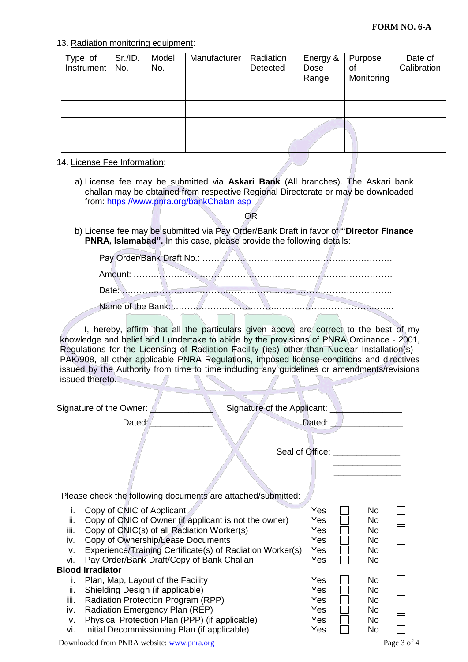### 13. Radiation monitoring equipment:

| Type of<br>Instrument | Sr./ID.<br>No. | Model<br>No. | Manufacturer | Radiation<br>Detected | Energy &<br>Dose<br>Range | Purpose<br>οf<br>Monitoring | Date of<br>Calibration |
|-----------------------|----------------|--------------|--------------|-----------------------|---------------------------|-----------------------------|------------------------|
|                       |                |              |              |                       |                           |                             |                        |
|                       |                |              |              |                       |                           |                             |                        |
|                       |                |              |              |                       |                           |                             |                        |
|                       |                |              |              |                       |                           |                             |                        |

#### 14. License Fee Information:

a) License fee may be submitted via **Askari Bank** (All branches). The Askari bank challan may be obtained from respective Regional Directorate or may be downloaded from:<https://www.pnra.org/bankChalan.asp>

OR

b) License fee may be submitted via Pay Order/Bank Draft in favor of **"Director Finance PNRA, Islamabad".** In this case, please provide the following details:

I, hereby, affirm that all the particulars given above are correct to the best of my knowledge and belief and I undertake to abide by the provisions of PNRA Ordinance - 2001, Regulations for the Licensing of Radiation Facility (ies) other than Nuclear Installation(s) - PAK/908, all other applicable PNRA Regulations, imposed license conditions and directives issued by the Authority from time to time including any guidelines or amendments/revisions issued thereto.

| Signature of the Owner:                                                                                                                                                                                                                                                                                                                             | Signature of the Applicant: <u>________________</u> |                                        |                                           |             |
|-----------------------------------------------------------------------------------------------------------------------------------------------------------------------------------------------------------------------------------------------------------------------------------------------------------------------------------------------------|-----------------------------------------------------|----------------------------------------|-------------------------------------------|-------------|
| Dated:                                                                                                                                                                                                                                                                                                                                              |                                                     | Dated: $\Box$                          |                                           |             |
|                                                                                                                                                                                                                                                                                                                                                     | Seal of Office: <u>contained</u>                    |                                        |                                           |             |
| Please check the following documents are attached/submitted:                                                                                                                                                                                                                                                                                        |                                                     |                                        |                                           |             |
| Copy of CNIC of Applicant<br>i.<br>ii.<br>Copy of CNIC of Owner (if applicant is not the owner)<br>iii.<br>Copy of CNIC(s) of all Radiation Worker(s)<br>Copy of Ownership/Lease Documents<br>iv.<br>Experience/Training Certificate(s) of Radiation Worker(s)<br>V.<br>Pay Order/Bank Draft/Copy of Bank Challan<br>vi.<br><b>Blood Irradiator</b> |                                                     | Yes<br>Yes<br>Yes<br>Yes<br>Yes<br>Yes | No.<br><b>No</b><br>No<br>No<br>No.<br>No |             |
| Plan, Map, Layout of the Facility<br>$\mathbf{L}$<br>Shielding Design (if applicable)<br>ii.<br>Radiation Protection Program (RPP)<br>iii.<br>Radiation Emergency Plan (REP)<br>iv.<br>Physical Protection Plan (PPP) (if applicable)<br>v.<br>Initial Decommissioning Plan (if applicable)<br>vi.                                                  |                                                     | Yes<br>Yes<br>Yes<br>Yes<br>Yes<br>Yes | No<br>No<br>No<br>No<br>No<br>No          |             |
| Downloaded from PNRA website: www.pnra.org                                                                                                                                                                                                                                                                                                          |                                                     |                                        |                                           | Page 3 of 4 |